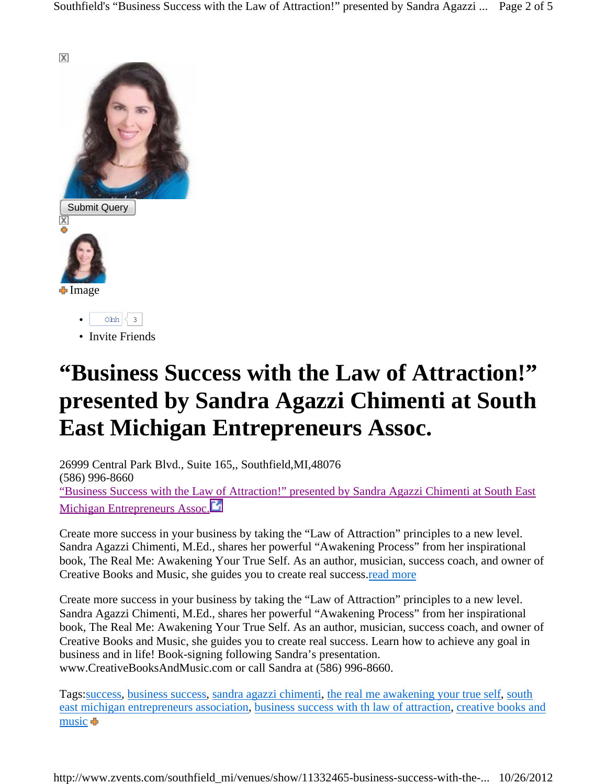

• Invite Friends

## **"Business Success with the Law of Attraction!" presented by Sandra Agazzi Chimenti at South East Michigan Entrepreneurs Assoc.**

26999 Central Park Blvd., Suite 165,, Southfield,MI,48076 (586) 996-8660 "Business Success with the Law of Attraction!" presented by Sandra Agazzi Chimenti at South East Michigan Entrepreneurs Assoc.<sup>1</sup>

Create more success in your business by taking the "Law of Attraction" principles to a new level. Sandra Agazzi Chimenti, M.Ed., shares her powerful "Awakening Process" from her inspirational book, The Real Me: Awakening Your True Self. As an author, musician, success coach, and owner of Creative Books and Music, she guides you to create real success.read more

Create more success in your business by taking the "Law of Attraction" principles to a new level. Sandra Agazzi Chimenti, M.Ed., shares her powerful "Awakening Process" from her inspirational book, The Real Me: Awakening Your True Self. As an author, musician, success coach, and owner of Creative Books and Music, she guides you to create real success. Learn how to achieve any goal in business and in life! Book-signing following Sandra's presentation. www.CreativeBooksAndMusic.com or call Sandra at (586) 996-8660.

Tags:success, business success, sandra agazzi chimenti, the real me awakening your true self, south east michigan entrepreneurs association, business success with th law of attraction, creative books and music  $\blacksquare$ 

http://www.zvents.com/southfield\_mi/venues/show/11332465-business-success-with-the-... 10/26/2012